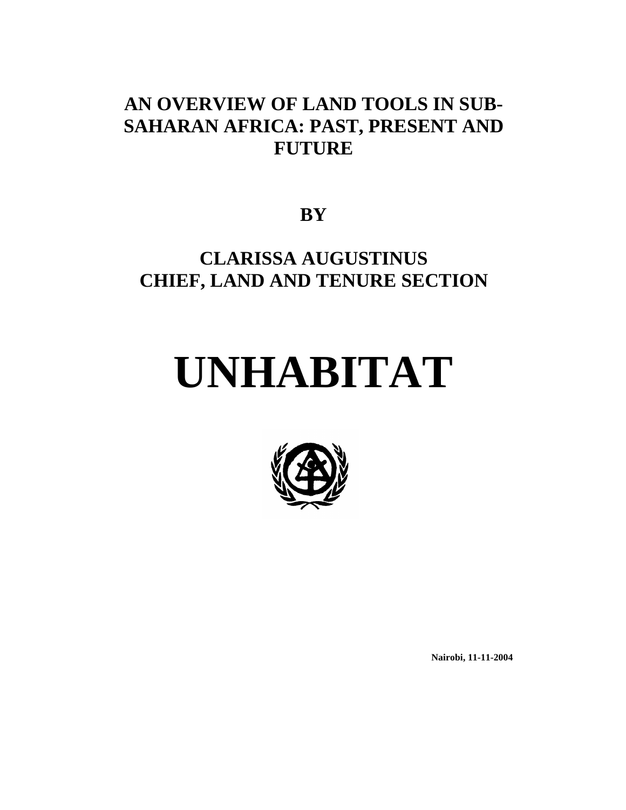# **AN OVERVIEW OF LAND TOOLS IN SUB-SAHARAN AFRICA: PAST, PRESENT AND FUTURE**

**BY** 

# **CLARISSA AUGUSTINUS CHIEF, LAND AND TENURE SECTION**

# **UNHABITAT**



**Nairobi, 11-11-2004**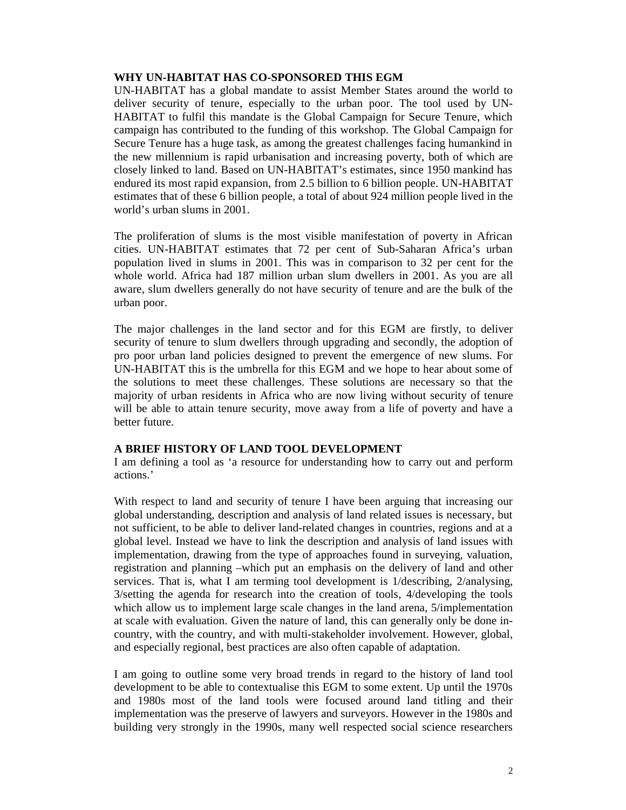## **WHY UN-HABITAT HAS CO-SPONSORED THIS EGM**

UN-HABITAT has a global mandate to assist Member States around the world to deliver security of tenure, especially to the urban poor. The tool used by UN-HABITAT to fulfil this mandate is the Global Campaign for Secure Tenure, which campaign has contributed to the funding of this workshop. The Global Campaign for Secure Tenure has a huge task, as among the greatest challenges facing humankind in the new millennium is rapid urbanisation and increasing poverty, both of which are closely linked to land. Based on UN-HABITAT's estimates, since 1950 mankind has endured its most rapid expansion, from 2.5 billion to 6 billion people. UN-HABITAT estimates that of these 6 billion people, a total of about 924 million people lived in the world's urban slums in 2001.

The proliferation of slums is the most visible manifestation of poverty in African cities. UN-HABITAT estimates that 72 per cent of Sub-Saharan Africa's urban population lived in slums in 2001. This was in comparison to 32 per cent for the whole world. Africa had 187 million urban slum dwellers in 2001. As you are all aware, slum dwellers generally do not have security of tenure and are the bulk of the urban poor.

The major challenges in the land sector and for this EGM are firstly, to deliver security of tenure to slum dwellers through upgrading and secondly, the adoption of pro poor urban land policies designed to prevent the emergence of new slums. For UN-HABITAT this is the umbrella for this EGM and we hope to hear about some of the solutions to meet these challenges. These solutions are necessary so that the majority of urban residents in Africa who are now living without security of tenure will be able to attain tenure security, move away from a life of poverty and have a better future.

## **A BRIEF HISTORY OF LAND TOOL DEVELOPMENT**

I am defining a tool as 'a resource for understanding how to carry out and perform actions.'

With respect to land and security of tenure I have been arguing that increasing our global understanding, description and analysis of land related issues is necessary, but not sufficient, to be able to deliver land-related changes in countries, regions and at a global level. Instead we have to link the description and analysis of land issues with implementation, drawing from the type of approaches found in surveying, valuation, registration and planning –which put an emphasis on the delivery of land and other services. That is, what I am terming tool development is 1/describing, 2/analysing, 3/setting the agenda for research into the creation of tools, 4/developing the tools which allow us to implement large scale changes in the land arena, 5/implementation at scale with evaluation. Given the nature of land, this can generally only be done incountry, with the country, and with multi-stakeholder involvement. However, global, and especially regional, best practices are also often capable of adaptation.

I am going to outline some very broad trends in regard to the history of land tool development to be able to contextualise this EGM to some extent. Up until the 1970s and 1980s most of the land tools were focused around land titling and their implementation was the preserve of lawyers and surveyors. However in the 1980s and building very strongly in the 1990s, many well respected social science researchers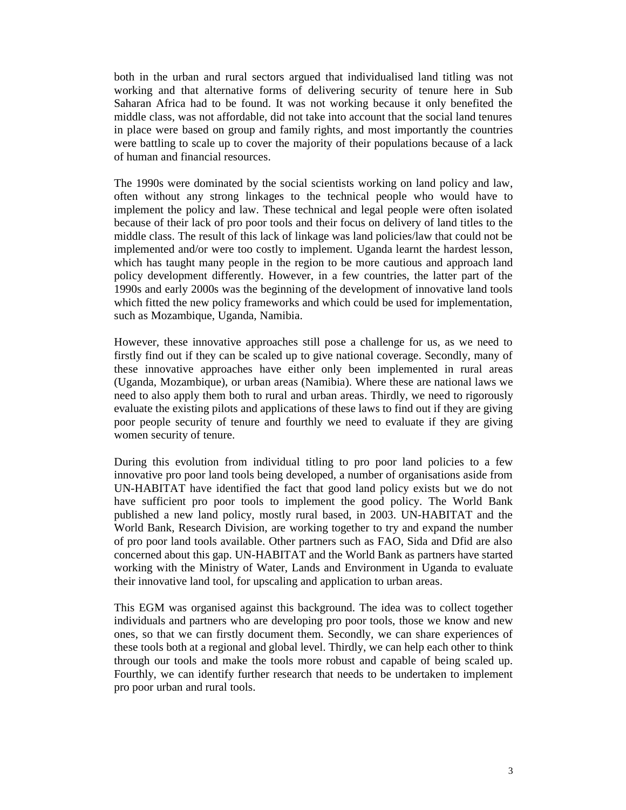both in the urban and rural sectors argued that individualised land titling was not working and that alternative forms of delivering security of tenure here in Sub Saharan Africa had to be found. It was not working because it only benefited the middle class, was not affordable, did not take into account that the social land tenures in place were based on group and family rights, and most importantly the countries were battling to scale up to cover the majority of their populations because of a lack of human and financial resources.

The 1990s were dominated by the social scientists working on land policy and law, often without any strong linkages to the technical people who would have to implement the policy and law. These technical and legal people were often isolated because of their lack of pro poor tools and their focus on delivery of land titles to the middle class. The result of this lack of linkage was land policies/law that could not be implemented and/or were too costly to implement. Uganda learnt the hardest lesson, which has taught many people in the region to be more cautious and approach land policy development differently. However, in a few countries, the latter part of the 1990s and early 2000s was the beginning of the development of innovative land tools which fitted the new policy frameworks and which could be used for implementation, such as Mozambique, Uganda, Namibia.

However, these innovative approaches still pose a challenge for us, as we need to firstly find out if they can be scaled up to give national coverage. Secondly, many of these innovative approaches have either only been implemented in rural areas (Uganda, Mozambique), or urban areas (Namibia). Where these are national laws we need to also apply them both to rural and urban areas. Thirdly, we need to rigorously evaluate the existing pilots and applications of these laws to find out if they are giving poor people security of tenure and fourthly we need to evaluate if they are giving women security of tenure.

During this evolution from individual titling to pro poor land policies to a few innovative pro poor land tools being developed, a number of organisations aside from UN-HABITAT have identified the fact that good land policy exists but we do not have sufficient pro poor tools to implement the good policy. The World Bank published a new land policy, mostly rural based, in 2003. UN-HABITAT and the World Bank, Research Division, are working together to try and expand the number of pro poor land tools available. Other partners such as FAO, Sida and Dfid are also concerned about this gap. UN-HABITAT and the World Bank as partners have started working with the Ministry of Water, Lands and Environment in Uganda to evaluate their innovative land tool, for upscaling and application to urban areas.

This EGM was organised against this background. The idea was to collect together individuals and partners who are developing pro poor tools, those we know and new ones, so that we can firstly document them. Secondly, we can share experiences of these tools both at a regional and global level. Thirdly, we can help each other to think through our tools and make the tools more robust and capable of being scaled up. Fourthly, we can identify further research that needs to be undertaken to implement pro poor urban and rural tools.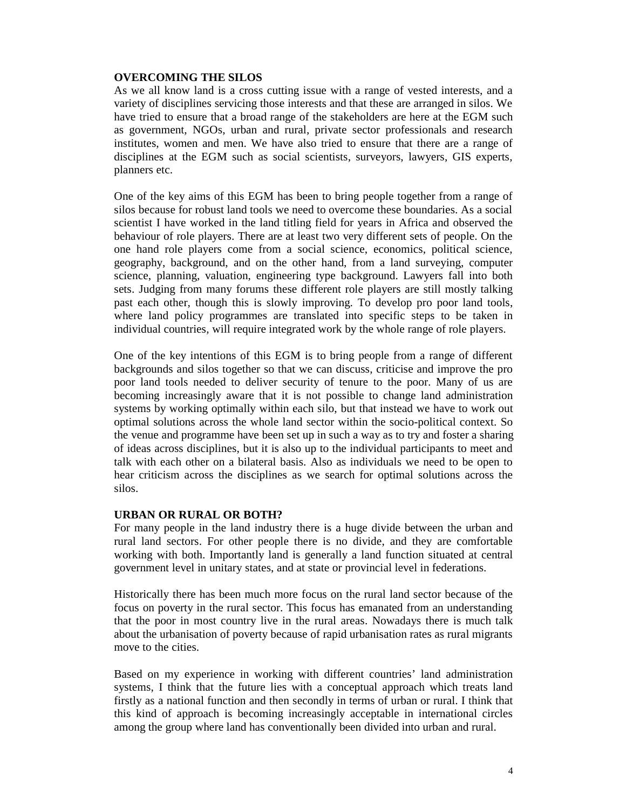## **OVERCOMING THE SILOS**

As we all know land is a cross cutting issue with a range of vested interests, and a variety of disciplines servicing those interests and that these are arranged in silos. We have tried to ensure that a broad range of the stakeholders are here at the EGM such as government, NGOs, urban and rural, private sector professionals and research institutes, women and men. We have also tried to ensure that there are a range of disciplines at the EGM such as social scientists, surveyors, lawyers, GIS experts, planners etc.

One of the key aims of this EGM has been to bring people together from a range of silos because for robust land tools we need to overcome these boundaries. As a social scientist I have worked in the land titling field for years in Africa and observed the behaviour of role players. There are at least two very different sets of people. On the one hand role players come from a social science, economics, political science, geography, background, and on the other hand, from a land surveying, computer science, planning, valuation, engineering type background. Lawyers fall into both sets. Judging from many forums these different role players are still mostly talking past each other, though this is slowly improving. To develop pro poor land tools, where land policy programmes are translated into specific steps to be taken in individual countries, will require integrated work by the whole range of role players.

One of the key intentions of this EGM is to bring people from a range of different backgrounds and silos together so that we can discuss, criticise and improve the pro poor land tools needed to deliver security of tenure to the poor. Many of us are becoming increasingly aware that it is not possible to change land administration systems by working optimally within each silo, but that instead we have to work out optimal solutions across the whole land sector within the socio-political context. So the venue and programme have been set up in such a way as to try and foster a sharing of ideas across disciplines, but it is also up to the individual participants to meet and talk with each other on a bilateral basis. Also as individuals we need to be open to hear criticism across the disciplines as we search for optimal solutions across the silos.

## **URBAN OR RURAL OR BOTH?**

For many people in the land industry there is a huge divide between the urban and rural land sectors. For other people there is no divide, and they are comfortable working with both. Importantly land is generally a land function situated at central government level in unitary states, and at state or provincial level in federations.

Historically there has been much more focus on the rural land sector because of the focus on poverty in the rural sector. This focus has emanated from an understanding that the poor in most country live in the rural areas. Nowadays there is much talk about the urbanisation of poverty because of rapid urbanisation rates as rural migrants move to the cities.

Based on my experience in working with different countries' land administration systems, I think that the future lies with a conceptual approach which treats land firstly as a national function and then secondly in terms of urban or rural. I think that this kind of approach is becoming increasingly acceptable in international circles among the group where land has conventionally been divided into urban and rural.